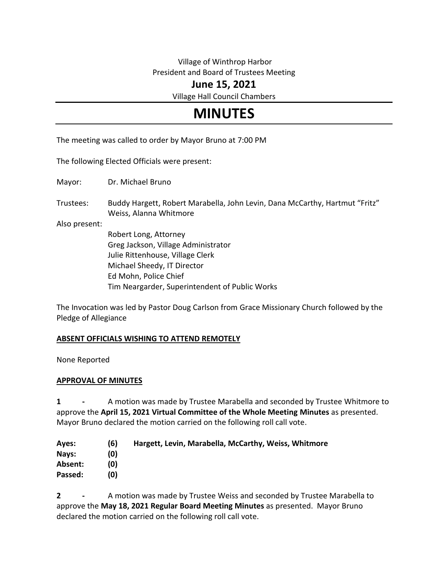# Village of Winthrop Harbor President and Board of Trustees Meeting

# **June 15, 2021**

Village Hall Council Chambers

# **MINUTES**

The meeting was called to order by Mayor Bruno at 7:00 PM

The following Elected Officials were present:

Mayor: Dr. Michael Bruno

Trustees: Buddy Hargett, Robert Marabella, John Levin, Dana McCarthy, Hartmut "Fritz" Weiss, Alanna Whitmore

Also present:

Robert Long, Attorney Greg Jackson, Village Administrator Julie Rittenhouse, Village Clerk Michael Sheedy, IT Director Ed Mohn, Police Chief Tim Neargarder, Superintendent of Public Works

The Invocation was led by Pastor Doug Carlson from Grace Missionary Church followed by the Pledge of Allegiance

#### **ABSENT OFFICIALS WISHING TO ATTEND REMOTELY**

None Reported

#### **APPROVAL OF MINUTES**

**1 -** A motion was made by Trustee Marabella and seconded by Trustee Whitmore to approve the **April 15, 2021 Virtual Committee of the Whole Meeting Minutes** as presented. Mayor Bruno declared the motion carried on the following roll call vote.

| Hargett, Levin, Marabella, McCarthy, Weiss, Whitmore |
|------------------------------------------------------|
|                                                      |
|                                                      |
|                                                      |
|                                                      |

**2 -** A motion was made by Trustee Weiss and seconded by Trustee Marabella to approve the **May 18, 2021 Regular Board Meeting Minutes** as presented. Mayor Bruno declared the motion carried on the following roll call vote.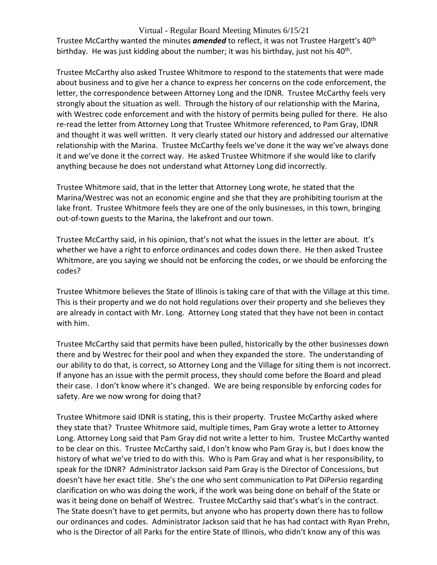Trustee McCarthy wanted the minutes **amended** to reflect, it was not Trustee Hargett's 40<sup>th</sup> birthday. He was just kidding about the number; it was his birthday, just not his 40<sup>th</sup>.

Trustee McCarthy also asked Trustee Whitmore to respond to the statements that were made about business and to give her a chance to express her concerns on the code enforcement, the letter, the correspondence between Attorney Long and the IDNR. Trustee McCarthy feels very strongly about the situation as well. Through the history of our relationship with the Marina, with Westrec code enforcement and with the history of permits being pulled for there. He also re-read the letter from Attorney Long that Trustee Whitmore referenced, to Pam Gray, IDNR and thought it was well written. It very clearly stated our history and addressed our alternative relationship with the Marina. Trustee McCarthy feels we've done it the way we've always done it and we've done it the correct way. He asked Trustee Whitmore if she would like to clarify anything because he does not understand what Attorney Long did incorrectly.

Trustee Whitmore said, that in the letter that Attorney Long wrote, he stated that the Marina/Westrec was not an economic engine and she that they are prohibiting tourism at the lake front. Trustee Whitmore feels they are one of the only businesses, in this town, bringing out-of-town guests to the Marina, the lakefront and our town.

Trustee McCarthy said, in his opinion, that's not what the issues in the letter are about. It's whether we have a right to enforce ordinances and codes down there. He then asked Trustee Whitmore, are you saying we should not be enforcing the codes, or we should be enforcing the codes?

Trustee Whitmore believes the State of Illinois is taking care of that with the Village at this time. This is their property and we do not hold regulations over their property and she believes they are already in contact with Mr. Long. Attorney Long stated that they have not been in contact with him.

Trustee McCarthy said that permits have been pulled, historically by the other businesses down there and by Westrec for their pool and when they expanded the store. The understanding of our ability to do that, is correct, so Attorney Long and the Village for siting them is not incorrect. If anyone has an issue with the permit process, they should come before the Board and plead their case. I don't know where it's changed. We are being responsible by enforcing codes for safety. Are we now wrong for doing that?

Trustee Whitmore said IDNR is stating, this is their property. Trustee McCarthy asked where they state that? Trustee Whitmore said, multiple times, Pam Gray wrote a letter to Attorney Long. Attorney Long said that Pam Gray did not write a letter to him. Trustee McCarthy wanted to be clear on this. Trustee McCarthy said, I don't know who Pam Gray is, but I does know the history of what we've tried to do with this. Who is Pam Gray and what is her responsibility, to speak for the IDNR? Administrator Jackson said Pam Gray is the Director of Concessions, but doesn't have her exact title. She's the one who sent communication to Pat DiPersio regarding clarification on who was doing the work, if the work was being done on behalf of the State or was it being done on behalf of Westrec. Trustee McCarthy said that's what's in the contract. The State doesn't have to get permits, but anyone who has property down there has to follow our ordinances and codes. Administrator Jackson said that he has had contact with Ryan Prehn, who is the Director of all Parks for the entire State of Illinois, who didn't know any of this was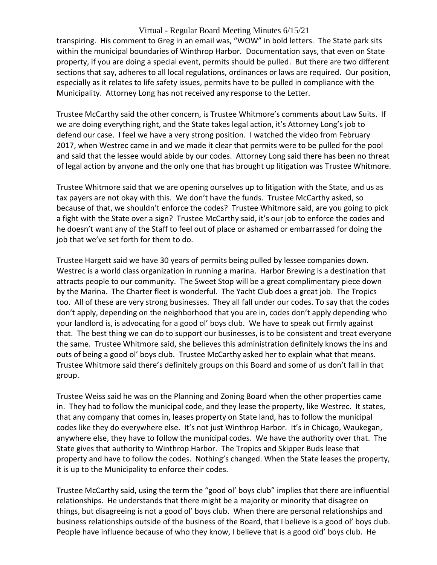transpiring. His comment to Greg in an email was, "WOW" in bold letters. The State park sits within the municipal boundaries of Winthrop Harbor. Documentation says, that even on State property, if you are doing a special event, permits should be pulled. But there are two different sections that say, adheres to all local regulations, ordinances or laws are required. Our position, especially as it relates to life safety issues, permits have to be pulled in compliance with the Municipality. Attorney Long has not received any response to the Letter.

Trustee McCarthy said the other concern, is Trustee Whitmore's comments about Law Suits. If we are doing everything right, and the State takes legal action, it's Attorney Long's job to defend our case. I feel we have a very strong position. I watched the video from February 2017, when Westrec came in and we made it clear that permits were to be pulled for the pool and said that the lessee would abide by our codes. Attorney Long said there has been no threat of legal action by anyone and the only one that has brought up litigation was Trustee Whitmore.

Trustee Whitmore said that we are opening ourselves up to litigation with the State, and us as tax payers are not okay with this. We don't have the funds. Trustee McCarthy asked, so because of that, we shouldn't enforce the codes? Trustee Whitmore said, are you going to pick a fight with the State over a sign? Trustee McCarthy said, it's our job to enforce the codes and he doesn't want any of the Staff to feel out of place or ashamed or embarrassed for doing the job that we've set forth for them to do.

Trustee Hargett said we have 30 years of permits being pulled by lessee companies down. Westrec is a world class organization in running a marina. Harbor Brewing is a destination that attracts people to our community. The Sweet Stop will be a great complimentary piece down by the Marina. The Charter fleet is wonderful. The Yacht Club does a great job. The Tropics too. All of these are very strong businesses. They all fall under our codes. To say that the codes don't apply, depending on the neighborhood that you are in, codes don't apply depending who your landlord is, is advocating for a good ol' boys club. We have to speak out firmly against that. The best thing we can do to support our businesses, is to be consistent and treat everyone the same. Trustee Whitmore said, she believes this administration definitely knows the ins and outs of being a good ol' boys club. Trustee McCarthy asked her to explain what that means. Trustee Whitmore said there's definitely groups on this Board and some of us don't fall in that group.

Trustee Weiss said he was on the Planning and Zoning Board when the other properties came in. They had to follow the municipal code, and they lease the property, like Westrec. It states, that any company that comes in, leases property on State land, has to follow the municipal codes like they do everywhere else. It's not just Winthrop Harbor. It's in Chicago, Waukegan, anywhere else, they have to follow the municipal codes. We have the authority over that. The State gives that authority to Winthrop Harbor. The Tropics and Skipper Buds lease that property and have to follow the codes. Nothing's changed. When the State leases the property, it is up to the Municipality to enforce their codes.

Trustee McCarthy said, using the term the "good ol' boys club" implies that there are influential relationships. He understands that there might be a majority or minority that disagree on things, but disagreeing is not a good ol' boys club. When there are personal relationships and business relationships outside of the business of the Board, that I believe is a good ol' boys club. People have influence because of who they know, I believe that is a good old' boys club. He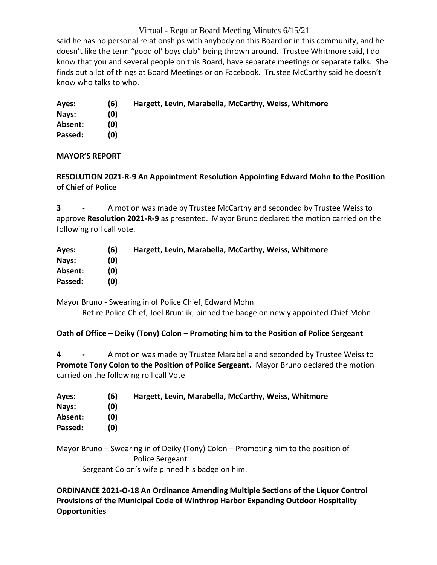said he has no personal relationships with anybody on this Board or in this community, and he doesn't like the term "good ol' boys club" being thrown around. Trustee Whitmore said, I do know that you and several people on this Board, have separate meetings or separate talks. She finds out a lot of things at Board Meetings or on Facebook. Trustee McCarthy said he doesn't know who talks to who.

- **Ayes: (6) Hargett, Levin, Marabella, McCarthy, Weiss, Whitmore**
- **Nays: (0)**

**Absent: (0) Passed: (0)**

**MAYOR'S REPORT**

# **RESOLUTION 2021-R-9 An Appointment Resolution Appointing Edward Mohn to the Position of Chief of Police**

**3 -** A motion was made by Trustee McCarthy and seconded by Trustee Weiss to approve **Resolution 2021-R-9** as presented. Mayor Bruno declared the motion carried on the following roll call vote.

| Ayes:   | (6) | Hargett, Levin, Marabella, McCarthy, Weiss, Whitmore |
|---------|-----|------------------------------------------------------|
| Nays:   | (0) |                                                      |
| Absent: | וסו |                                                      |
| Passed: | וסו |                                                      |

Mayor Bruno - Swearing in of Police Chief, Edward Mohn Retire Police Chief, Joel Brumlik, pinned the badge on newly appointed Chief Mohn

# **Oath of Office – Deiky (Tony) Colon – Promoting him to the Position of Police Sergeant**

**4 -** A motion was made by Trustee Marabella and seconded by Trustee Weiss to **Promote Tony Colon to the Position of Police Sergeant.** Mayor Bruno declared the motion carried on the following roll call Vote

| Ayes:   | (6) | Hargett, Levin, Marabella, McCarthy, Weiss, Whitmore |
|---------|-----|------------------------------------------------------|
| Nays:   | (0) |                                                      |
| Absent: | (0) |                                                      |
| Passed: | (0) |                                                      |

Mayor Bruno – Swearing in of Deiky (Tony) Colon – Promoting him to the position of Police Sergeant Sergeant Colon's wife pinned his badge on him.

**ORDINANCE 2021-O-18 An Ordinance Amending Multiple Sections of the Liquor Control Provisions of the Municipal Code of Winthrop Harbor Expanding Outdoor Hospitality Opportunities**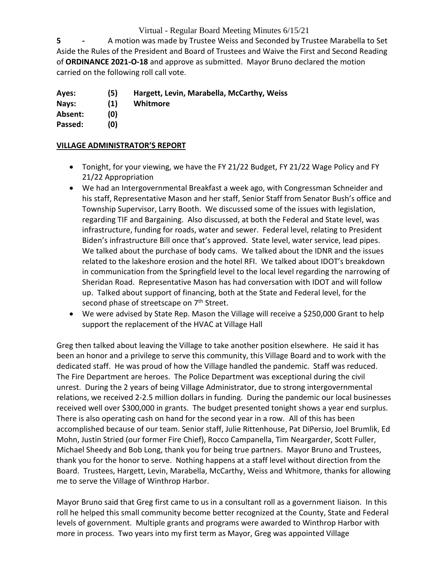**5 -** A motion was made by Trustee Weiss and Seconded by Trustee Marabella to Set Aside the Rules of the President and Board of Trustees and Waive the First and Second Reading of **ORDINANCE 2021-O-18** and approve as submitted. Mayor Bruno declared the motion carried on the following roll call vote.

- **Ayes: (5) Hargett, Levin, Marabella, McCarthy, Weiss**
- **Nays: (1) Whitmore**

**Absent: (0)**

**Passed: (0)**

#### **VILLAGE ADMINISTRATOR'S REPORT**

- Tonight, for your viewing, we have the FY 21/22 Budget, FY 21/22 Wage Policy and FY 21/22 Appropriation
- We had an Intergovernmental Breakfast a week ago, with Congressman Schneider and his staff, Representative Mason and her staff, Senior Staff from Senator Bush's office and Township Supervisor, Larry Booth. We discussed some of the issues with legislation, regarding TIF and Bargaining. Also discussed, at both the Federal and State level, was infrastructure, funding for roads, water and sewer. Federal level, relating to President Biden's infrastructure Bill once that's approved. State level, water service, lead pipes. We talked about the purchase of body cams. We talked about the IDNR and the issues related to the lakeshore erosion and the hotel RFI. We talked about IDOT's breakdown in communication from the Springfield level to the local level regarding the narrowing of Sheridan Road. Representative Mason has had conversation with IDOT and will follow up. Talked about support of financing, both at the State and Federal level, for the second phase of streetscape on 7<sup>th</sup> Street.
- We were advised by State Rep. Mason the Village will receive a \$250,000 Grant to help support the replacement of the HVAC at Village Hall

Greg then talked about leaving the Village to take another position elsewhere. He said it has been an honor and a privilege to serve this community, this Village Board and to work with the dedicated staff. He was proud of how the Village handled the pandemic. Staff was reduced. The Fire Department are heroes. The Police Department was exceptional during the civil unrest. During the 2 years of being Village Administrator, due to strong intergovernmental relations, we received 2-2.5 million dollars in funding. During the pandemic our local businesses received well over \$300,000 in grants. The budget presented tonight shows a year end surplus. There is also operating cash on hand for the second year in a row. All of this has been accomplished because of our team. Senior staff, Julie Rittenhouse, Pat DiPersio, Joel Brumlik, Ed Mohn, Justin Stried (our former Fire Chief), Rocco Campanella, Tim Neargarder, Scott Fuller, Michael Sheedy and Bob Long, thank you for being true partners. Mayor Bruno and Trustees, thank you for the honor to serve. Nothing happens at a staff level without direction from the Board. Trustees, Hargett, Levin, Marabella, McCarthy, Weiss and Whitmore, thanks for allowing me to serve the Village of Winthrop Harbor.

Mayor Bruno said that Greg first came to us in a consultant roll as a government liaison. In this roll he helped this small community become better recognized at the County, State and Federal levels of government. Multiple grants and programs were awarded to Winthrop Harbor with more in process. Two years into my first term as Mayor, Greg was appointed Village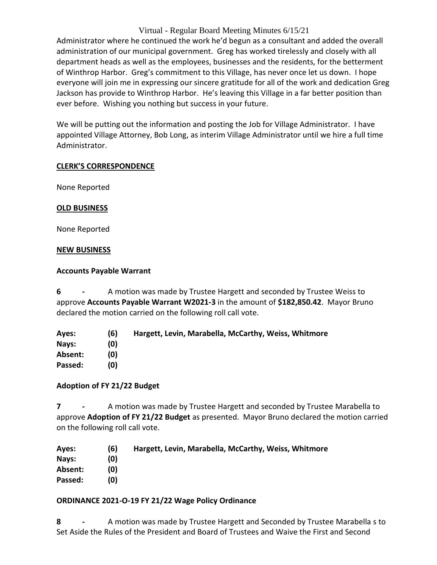Administrator where he continued the work he'd begun as a consultant and added the overall administration of our municipal government. Greg has worked tirelessly and closely with all department heads as well as the employees, businesses and the residents, for the betterment of Winthrop Harbor. Greg's commitment to this Village, has never once let us down. I hope everyone will join me in expressing our sincere gratitude for all of the work and dedication Greg Jackson has provide to Winthrop Harbor. He's leaving this Village in a far better position than ever before. Wishing you nothing but success in your future.

We will be putting out the information and posting the Job for Village Administrator. I have appointed Village Attorney, Bob Long, as interim Village Administrator until we hire a full time Administrator.

#### **CLERK'S CORRESPONDENCE**

None Reported

#### **OLD BUSINESS**

None Reported

#### **NEW BUSINESS**

#### **Accounts Payable Warrant**

**6 -** A motion was made by Trustee Hargett and seconded by Trustee Weiss to approve **Accounts Payable Warrant W2021-3** in the amount of **\$182,850.42**. Mayor Bruno declared the motion carried on the following roll call vote.

**Ayes: (6) Hargett, Levin, Marabella, McCarthy, Weiss, Whitmore Nays: (0) Absent: (0) Passed: (0)**

#### **Adoption of FY 21/22 Budget**

**7 -** A motion was made by Trustee Hargett and seconded by Trustee Marabella to approve **Adoption of FY 21/22 Budget** as presented. Mayor Bruno declared the motion carried on the following roll call vote.

| Ayes:   | (6) | Hargett, Levin, Marabella, McCarthy, Weiss, Whitmore |
|---------|-----|------------------------------------------------------|
| Nays:   | (0) |                                                      |
| Absent: | (0) |                                                      |
| Passed: | (0) |                                                      |

#### **ORDINANCE 2021-O-19 FY 21/22 Wage Policy Ordinance**

**8 -** A motion was made by Trustee Hargett and Seconded by Trustee Marabella s to Set Aside the Rules of the President and Board of Trustees and Waive the First and Second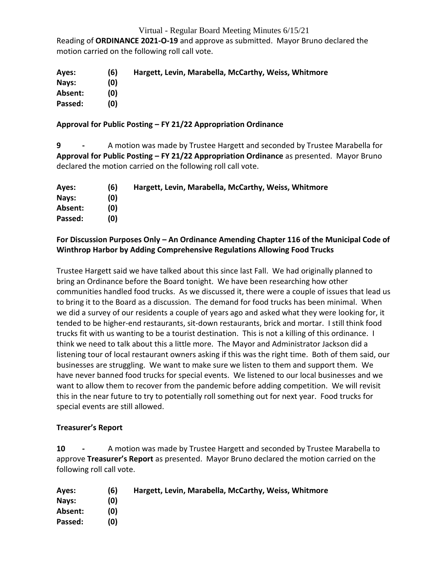Reading of **ORDINANCE 2021-O-19** and approve as submitted. Mayor Bruno declared the motion carried on the following roll call vote.

| Ayes:   | (6) | Hargett, Levin, Marabella, McCarthy, Weiss, Whitmore |
|---------|-----|------------------------------------------------------|
| Nays:   | (0) |                                                      |
| Absent: | (0) |                                                      |
| Passed: | (0) |                                                      |

#### **Approval for Public Posting – FY 21/22 Appropriation Ordinance**

**9 -** A motion was made by Trustee Hargett and seconded by Trustee Marabella for **Approval for Public Posting – FY 21/22 Appropriation Ordinance** as presented. Mayor Bruno declared the motion carried on the following roll call vote.

| Ayes:   | (6) | Hargett, Levin, Marabella, McCarthy, Weiss, Whitmore |
|---------|-----|------------------------------------------------------|
| Nays:   | (0) |                                                      |
| Absent: | (0) |                                                      |
| Passed: | (0) |                                                      |

#### **For Discussion Purposes Only – An Ordinance Amending Chapter 116 of the Municipal Code of Winthrop Harbor by Adding Comprehensive Regulations Allowing Food Trucks**

Trustee Hargett said we have talked about this since last Fall. We had originally planned to bring an Ordinance before the Board tonight. We have been researching how other communities handled food trucks. As we discussed it, there were a couple of issues that lead us to bring it to the Board as a discussion. The demand for food trucks has been minimal. When we did a survey of our residents a couple of years ago and asked what they were looking for, it tended to be higher-end restaurants, sit-down restaurants, brick and mortar. I still think food trucks fit with us wanting to be a tourist destination. This is not a killing of this ordinance. I think we need to talk about this a little more. The Mayor and Administrator Jackson did a listening tour of local restaurant owners asking if this was the right time. Both of them said, our businesses are struggling. We want to make sure we listen to them and support them. We have never banned food trucks for special events. We listened to our local businesses and we want to allow them to recover from the pandemic before adding competition. We will revisit this in the near future to try to potentially roll something out for next year. Food trucks for special events are still allowed.

#### **Treasurer's Report**

**10 -** A motion was made by Trustee Hargett and seconded by Trustee Marabella to approve **Treasurer's Report** as presented. Mayor Bruno declared the motion carried on the following roll call vote.

| Ayes:   | (6) | Hargett, Levin, Marabella, McCarthy, Weiss, Whitmore |
|---------|-----|------------------------------------------------------|
| Nays:   | (0) |                                                      |
| Absent: | (0) |                                                      |
| Passed: | (0) |                                                      |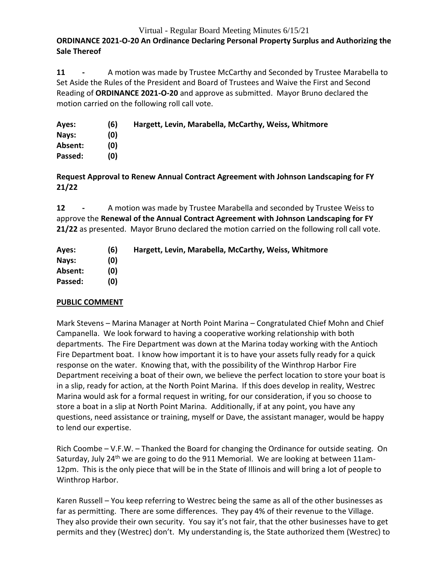# **ORDINANCE 2021-O-20 An Ordinance Declaring Personal Property Surplus and Authorizing the Sale Thereof**

**11 -** A motion was made by Trustee McCarthy and Seconded by Trustee Marabella to Set Aside the Rules of the President and Board of Trustees and Waive the First and Second Reading of **ORDINANCE 2021-O-20** and approve as submitted. Mayor Bruno declared the motion carried on the following roll call vote.

| Ayes:   | (6) | Hargett, Levin, Marabella, McCarthy, Weiss, Whitmore |
|---------|-----|------------------------------------------------------|
| Nays:   | (0) |                                                      |
| Absent: | (0) |                                                      |
| Passed: | (0) |                                                      |

**Request Approval to Renew Annual Contract Agreement with Johnson Landscaping for FY 21/22**

**12 -** A motion was made by Trustee Marabella and seconded by Trustee Weiss to approve the **Renewal of the Annual Contract Agreement with Johnson Landscaping for FY 21/22** as presented. Mayor Bruno declared the motion carried on the following roll call vote.

| Ayes:   | (6) | Hargett, Levin, Marabella, McCarthy, Weiss, Whitmore |
|---------|-----|------------------------------------------------------|
| Nays:   | (0) |                                                      |
| Absent: | (0) |                                                      |
| Passed: | (0) |                                                      |

#### **PUBLIC COMMENT**

Mark Stevens – Marina Manager at North Point Marina – Congratulated Chief Mohn and Chief Campanella. We look forward to having a cooperative working relationship with both departments. The Fire Department was down at the Marina today working with the Antioch Fire Department boat. I know how important it is to have your assets fully ready for a quick response on the water. Knowing that, with the possibility of the Winthrop Harbor Fire Department receiving a boat of their own, we believe the perfect location to store your boat is in a slip, ready for action, at the North Point Marina. If this does develop in reality, Westrec Marina would ask for a formal request in writing, for our consideration, if you so choose to store a boat in a slip at North Point Marina. Additionally, if at any point, you have any questions, need assistance or training, myself or Dave, the assistant manager, would be happy to lend our expertise.

Rich Coombe – V.F.W. – Thanked the Board for changing the Ordinance for outside seating. On Saturday, July 24<sup>th</sup> we are going to do the 911 Memorial. We are looking at between 11am-12pm. This is the only piece that will be in the State of Illinois and will bring a lot of people to Winthrop Harbor.

Karen Russell – You keep referring to Westrec being the same as all of the other businesses as far as permitting. There are some differences. They pay 4% of their revenue to the Village. They also provide their own security. You say it's not fair, that the other businesses have to get permits and they (Westrec) don't. My understanding is, the State authorized them (Westrec) to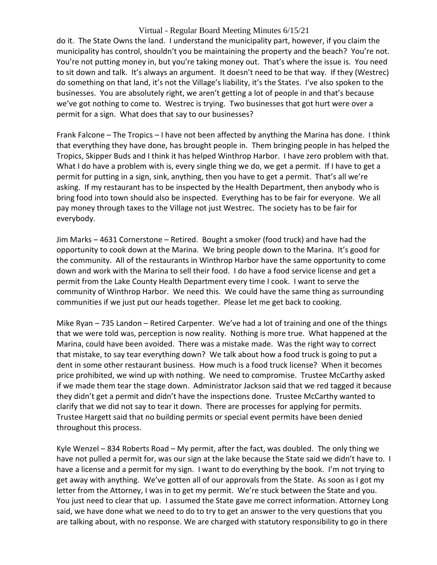do it. The State Owns the land. I understand the municipality part, however, if you claim the municipality has control, shouldn't you be maintaining the property and the beach? You're not. You're not putting money in, but you're taking money out. That's where the issue is. You need to sit down and talk. It's always an argument. It doesn't need to be that way. If they (Westrec) do something on that land, it's not the Village's liability, it's the States. I've also spoken to the businesses. You are absolutely right, we aren't getting a lot of people in and that's because we've got nothing to come to. Westrec is trying. Two businesses that got hurt were over a permit for a sign. What does that say to our businesses?

Frank Falcone – The Tropics – I have not been affected by anything the Marina has done. I think that everything they have done, has brought people in. Them bringing people in has helped the Tropics, Skipper Buds and I think it has helped Winthrop Harbor. I have zero problem with that. What I do have a problem with is, every single thing we do, we get a permit. If I have to get a permit for putting in a sign, sink, anything, then you have to get a permit. That's all we're asking. If my restaurant has to be inspected by the Health Department, then anybody who is bring food into town should also be inspected. Everything has to be fair for everyone. We all pay money through taxes to the Village not just Westrec. The society has to be fair for everybody.

Jim Marks – 4631 Cornerstone – Retired. Bought a smoker (food truck) and have had the opportunity to cook down at the Marina. We bring people down to the Marina. It's good for the community. All of the restaurants in Winthrop Harbor have the same opportunity to come down and work with the Marina to sell their food. I do have a food service license and get a permit from the Lake County Health Department every time I cook. I want to serve the community of Winthrop Harbor. We need this. We could have the same thing as surrounding communities if we just put our heads together. Please let me get back to cooking.

Mike Ryan – 735 Landon – Retired Carpenter. We've had a lot of training and one of the things that we were told was, perception is now reality. Nothing is more true. What happened at the Marina, could have been avoided. There was a mistake made. Was the right way to correct that mistake, to say tear everything down? We talk about how a food truck is going to put a dent in some other restaurant business. How much is a food truck license? When it becomes price prohibited, we wind up with nothing. We need to compromise. Trustee McCarthy asked if we made them tear the stage down. Administrator Jackson said that we red tagged it because they didn't get a permit and didn't have the inspections done. Trustee McCarthy wanted to clarify that we did not say to tear it down. There are processes for applying for permits. Trustee Hargett said that no building permits or special event permits have been denied throughout this process.

Kyle Wenzel – 834 Roberts Road – My permit, after the fact, was doubled. The only thing we have not pulled a permit for, was our sign at the lake because the State said we didn't have to. I have a license and a permit for my sign. I want to do everything by the book. I'm not trying to get away with anything. We've gotten all of our approvals from the State. As soon as I got my letter from the Attorney, I was in to get my permit. We're stuck between the State and you. You just need to clear that up. I assumed the State gave me correct information. Attorney Long said, we have done what we need to do to try to get an answer to the very questions that you are talking about, with no response. We are charged with statutory responsibility to go in there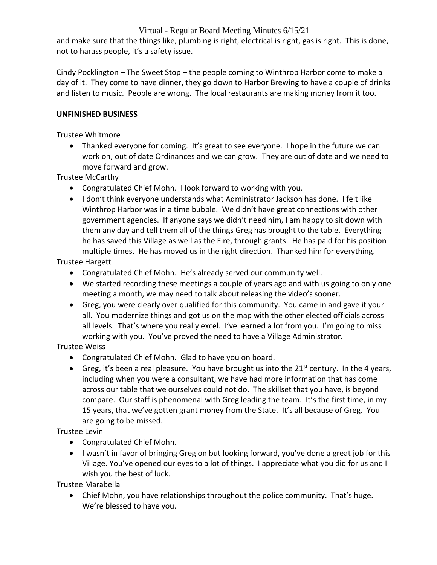and make sure that the things like, plumbing is right, electrical is right, gas is right. This is done, not to harass people, it's a safety issue.

Cindy Pocklington – The Sweet Stop – the people coming to Winthrop Harbor come to make a day of it. They come to have dinner, they go down to Harbor Brewing to have a couple of drinks and listen to music. People are wrong. The local restaurants are making money from it too.

# **UNFINISHED BUSINESS**

#### Trustee Whitmore

• Thanked everyone for coming. It's great to see everyone. I hope in the future we can work on, out of date Ordinances and we can grow. They are out of date and we need to move forward and grow.

Trustee McCarthy

- Congratulated Chief Mohn. I look forward to working with you.
- I don't think everyone understands what Administrator Jackson has done. I felt like Winthrop Harbor was in a time bubble. We didn't have great connections with other government agencies. If anyone says we didn't need him, I am happy to sit down with them any day and tell them all of the things Greg has brought to the table. Everything he has saved this Village as well as the Fire, through grants. He has paid for his position multiple times. He has moved us in the right direction. Thanked him for everything.

Trustee Hargett

- Congratulated Chief Mohn. He's already served our community well.
- We started recording these meetings a couple of years ago and with us going to only one meeting a month, we may need to talk about releasing the video's sooner.
- Greg, you were clearly over qualified for this community. You came in and gave it your all. You modernize things and got us on the map with the other elected officials across all levels. That's where you really excel. I've learned a lot from you. I'm going to miss working with you. You've proved the need to have a Village Administrator.

Trustee Weiss

- Congratulated Chief Mohn. Glad to have you on board.
- Greg, it's been a real pleasure. You have brought us into the  $21^{st}$  century. In the 4 years, including when you were a consultant, we have had more information that has come across our table that we ourselves could not do. The skillset that you have, is beyond compare. Our staff is phenomenal with Greg leading the team. It's the first time, in my 15 years, that we've gotten grant money from the State. It's all because of Greg. You are going to be missed.

Trustee Levin

- Congratulated Chief Mohn.
- I wasn't in favor of bringing Greg on but looking forward, you've done a great job for this Village. You've opened our eyes to a lot of things. I appreciate what you did for us and I wish you the best of luck.

Trustee Marabella

 Chief Mohn, you have relationships throughout the police community. That's huge. We're blessed to have you.